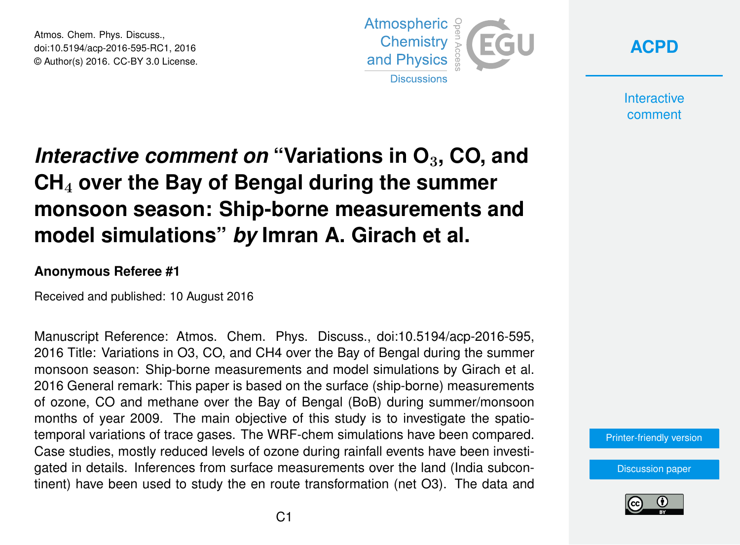Atmos. Chem. Phys. Discuss., doi:10.5194/acp-2016-595-RC1, 2016 © Author(s) 2016. CC-BY 3.0 License.





**Interactive** comment

## *Interactive comment on* **"Variations in O**3**, CO, and CH**<sup>4</sup> **over the Bay of Bengal during the summer monsoon season: Ship-borne measurements and model simulations"** *by* **Imran A. Girach et al.**

## **Anonymous Referee #1**

Received and published: 10 August 2016

Manuscript Reference: Atmos. Chem. Phys. Discuss., doi:10.5194/acp-2016-595, 2016 Title: Variations in O3, CO, and CH4 over the Bay of Bengal during the summer monsoon season: Ship-borne measurements and model simulations by Girach et al. 2016 General remark: This paper is based on the surface (ship-borne) measurements of ozone, CO and methane over the Bay of Bengal (BoB) during summer/monsoon months of year 2009. The main objective of this study is to investigate the spatiotemporal variations of trace gases. The WRF-chem simulations have been compared. Case studies, mostly reduced levels of ozone during rainfall events have been investigated in details. Inferences from surface measurements over the land (India subcontinent) have been used to study the en route transformation (net O3). The data and



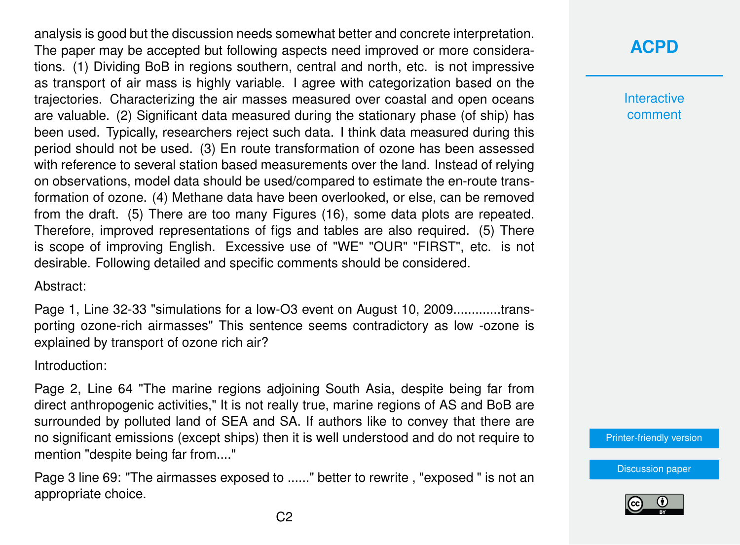analysis is good but the discussion needs somewhat better and concrete interpretation. The paper may be accepted but following aspects need improved or more considerations. (1) Dividing BoB in regions southern, central and north, etc. is not impressive as transport of air mass is highly variable. I agree with categorization based on the trajectories. Characterizing the air masses measured over coastal and open oceans are valuable. (2) Significant data measured during the stationary phase (of ship) has been used. Typically, researchers reject such data. I think data measured during this period should not be used. (3) En route transformation of ozone has been assessed with reference to several station based measurements over the land. Instead of relying on observations, model data should be used/compared to estimate the en-route transformation of ozone. (4) Methane data have been overlooked, or else, can be removed from the draft. (5) There are too many Figures (16), some data plots are repeated. Therefore, improved representations of figs and tables are also required. (5) There is scope of improving English. Excessive use of "WE" "OUR" "FIRST", etc. is not desirable. Following detailed and specific comments should be considered.

Abstract:

Page 1, Line 32-33 "simulations for a low-O3 event on August 10, 2009.............transporting ozone-rich airmasses" This sentence seems contradictory as low -ozone is explained by transport of ozone rich air?

Introduction:

Page 2, Line 64 "The marine regions adjoining South Asia, despite being far from direct anthropogenic activities," It is not really true, marine regions of AS and BoB are surrounded by polluted land of SEA and SA. If authors like to convey that there are no significant emissions (except ships) then it is well understood and do not require to mention "despite being far from...."

Page 3 line 69: "The airmasses exposed to ......" better to rewrite , "exposed " is not an appropriate choice.

**[ACPD](http://www.atmos-chem-phys-discuss.net/)**

**Interactive** comment

[Printer-friendly version](http://www.atmos-chem-phys-discuss.net/acp-2016-595/acp-2016-595-RC1-print.pdf)

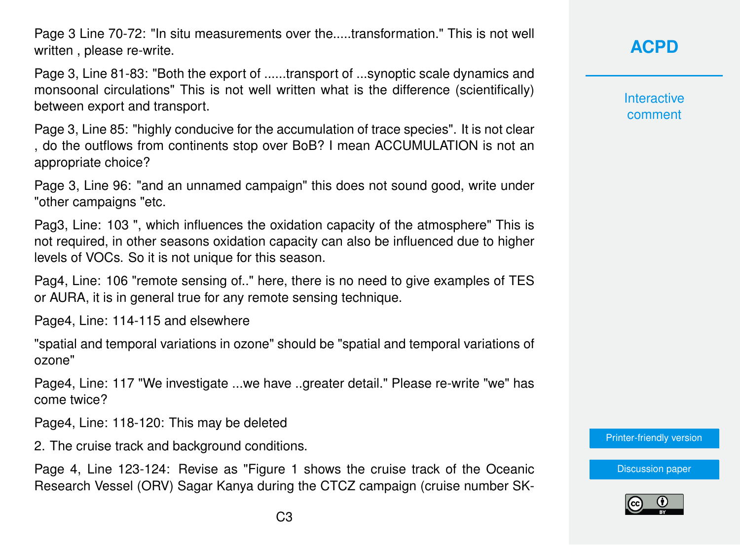Page 3 Line 70-72: "In situ measurements over the.....transformation." This is not well written , please re-write.

Page 3, Line 81-83: "Both the export of ......transport of ...synoptic scale dynamics and monsoonal circulations" This is not well written what is the difference (scientifically) between export and transport.

Page 3, Line 85: "highly conducive for the accumulation of trace species". It is not clear , do the outflows from continents stop over BoB? I mean ACCUMULATION is not an appropriate choice?

Page 3, Line 96: "and an unnamed campaign" this does not sound good, write under "other campaigns "etc.

Pag3, Line: 103 ", which influences the oxidation capacity of the atmosphere" This is not required, in other seasons oxidation capacity can also be influenced due to higher levels of VOCs. So it is not unique for this season.

Pag4, Line: 106 "remote sensing of.." here, there is no need to give examples of TES or AURA, it is in general true for any remote sensing technique.

Page4, Line: 114-115 and elsewhere

"spatial and temporal variations in ozone" should be "spatial and temporal variations of ozone"

Page4, Line: 117 "We investigate ...we have ..greater detail." Please re-write "we" has come twice?

Page4, Line: 118-120: This may be deleted

2. The cruise track and background conditions.

Page 4, Line 123-124: Revise as "Figure 1 shows the cruise track of the Oceanic Research Vessel (ORV) Sagar Kanya during the CTCZ campaign (cruise number SK- **[ACPD](http://www.atmos-chem-phys-discuss.net/)**

**Interactive** comment

[Printer-friendly version](http://www.atmos-chem-phys-discuss.net/acp-2016-595/acp-2016-595-RC1-print.pdf)

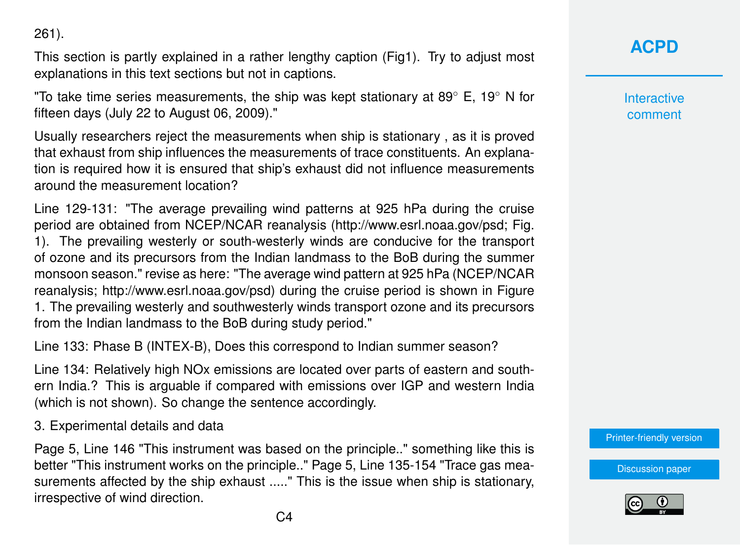261).

This section is partly explained in a rather lengthy caption (Fig1). Try to adjust most explanations in this text sections but not in captions.

"To take time series measurements, the ship was kept stationary at 89 $\degree$  E, 19 $\degree$  N for fifteen days (July 22 to August 06, 2009)."

Usually researchers reject the measurements when ship is stationary , as it is proved that exhaust from ship influences the measurements of trace constituents. An explanation is required how it is ensured that ship's exhaust did not influence measurements around the measurement location?

Line 129-131: "The average prevailing wind patterns at 925 hPa during the cruise period are obtained from NCEP/NCAR reanalysis (http://www.esrl.noaa.gov/psd; Fig. 1). The prevailing westerly or south-westerly winds are conducive for the transport of ozone and its precursors from the Indian landmass to the BoB during the summer monsoon season." revise as here: "The average wind pattern at 925 hPa (NCEP/NCAR reanalysis; http://www.esrl.noaa.gov/psd) during the cruise period is shown in Figure 1. The prevailing westerly and southwesterly winds transport ozone and its precursors from the Indian landmass to the BoB during study period."

Line 133: Phase B (INTEX-B), Does this correspond to Indian summer season?

Line 134: Relatively high NOx emissions are located over parts of eastern and southern India.? This is arguable if compared with emissions over IGP and western India (which is not shown). So change the sentence accordingly.

3. Experimental details and data

Page 5, Line 146 "This instrument was based on the principle.." something like this is better "This instrument works on the principle.." Page 5, Line 135-154 "Trace gas measurements affected by the ship exhaust ....." This is the issue when ship is stationary, irrespective of wind direction.

**[ACPD](http://www.atmos-chem-phys-discuss.net/)**

**Interactive** comment

[Printer-friendly version](http://www.atmos-chem-phys-discuss.net/acp-2016-595/acp-2016-595-RC1-print.pdf)

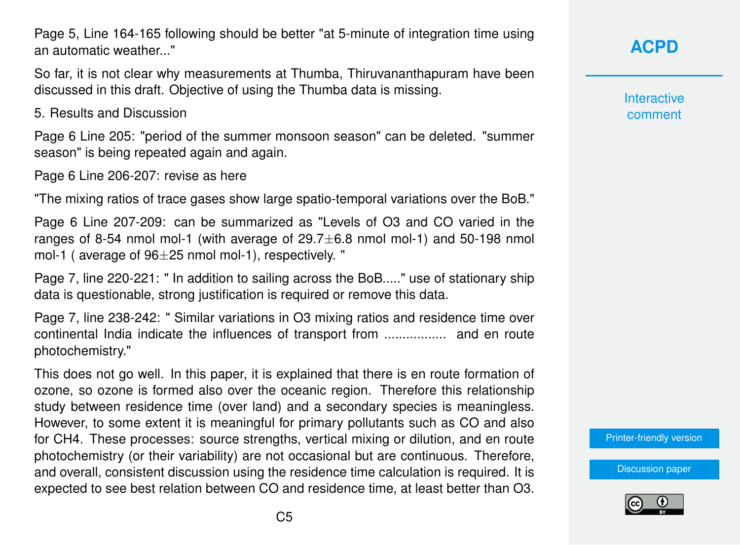Page 5, Line 164-165 following should be better "at 5-minute of integration time using an automatic weather..."

So far, it is not clear why measurements at Thumba, Thiruvananthapuram have been discussed in this draft. Objective of using the Thumba data is missing.

5. Results and Discussion

Page 6 Line 205: "period of the summer monsoon season" can be deleted. "summer season" is being repeated again and again.

Page 6 Line 206-207: revise as here

"The mixing ratios of trace gases show large spatio-temporal variations over the BoB."

Page 6 Line 207-209: can be summarized as "Levels of O3 and CO varied in the ranges of 8-54 nmol mol-1 (with average of  $29.7\pm6.8$  nmol mol-1) and 50-198 nmol mol-1 ( average of 96±25 nmol mol-1), respectively. "

Page 7, line 220-221: " In addition to sailing across the BoB....." use of stationary ship data is questionable, strong justification is required or remove this data.

Page 7, line 238-242: " Similar variations in O3 mixing ratios and residence time over continental India indicate the influences of transport from ................. and en route photochemistry."

This does not go well. In this paper, it is explained that there is en route formation of ozone, so ozone is formed also over the oceanic region. Therefore this relationship study between residence time (over land) and a secondary species is meaningless. However, to some extent it is meaningful for primary pollutants such as CO and also for CH4. These processes: source strengths, vertical mixing or dilution, and en route photochemistry (or their variability) are not occasional but are continuous. Therefore, and overall, consistent discussion using the residence time calculation is required. It is expected to see best relation between CO and residence time, at least better than O3.

**[ACPD](http://www.atmos-chem-phys-discuss.net/)**

**Interactive** comment

[Printer-friendly version](http://www.atmos-chem-phys-discuss.net/acp-2016-595/acp-2016-595-RC1-print.pdf)

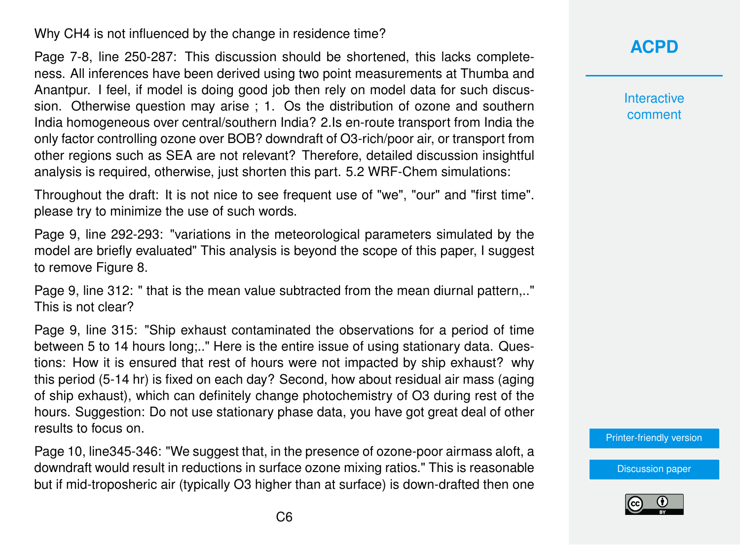Why CH4 is not influenced by the change in residence time?

Page 7-8, line 250-287: This discussion should be shortened, this lacks completeness. All inferences have been derived using two point measurements at Thumba and Anantpur. I feel, if model is doing good job then rely on model data for such discussion. Otherwise question may arise ; 1. Os the distribution of ozone and southern India homogeneous over central/southern India? 2.Is en-route transport from India the only factor controlling ozone over BOB? downdraft of O3-rich/poor air, or transport from other regions such as SEA are not relevant? Therefore, detailed discussion insightful analysis is required, otherwise, just shorten this part. 5.2 WRF-Chem simulations:

Throughout the draft: It is not nice to see frequent use of "we", "our" and "first time". please try to minimize the use of such words.

Page 9, line 292-293: "variations in the meteorological parameters simulated by the model are briefly evaluated" This analysis is beyond the scope of this paper, I suggest to remove Figure 8.

Page 9, line 312: " that is the mean value subtracted from the mean diurnal pattern,.." This is not clear?

Page 9, line 315: "Ship exhaust contaminated the observations for a period of time between 5 to 14 hours long;.." Here is the entire issue of using stationary data. Questions: How it is ensured that rest of hours were not impacted by ship exhaust? why this period (5-14 hr) is fixed on each day? Second, how about residual air mass (aging of ship exhaust), which can definitely change photochemistry of O3 during rest of the hours. Suggestion: Do not use stationary phase data, you have got great deal of other results to focus on.

Page 10, line345-346: "We suggest that, in the presence of ozone-poor airmass aloft, a downdraft would result in reductions in surface ozone mixing ratios." This is reasonable but if mid-troposheric air (typically O3 higher than at surface) is down-drafted then one

## **[ACPD](http://www.atmos-chem-phys-discuss.net/)**

**Interactive** comment

[Printer-friendly version](http://www.atmos-chem-phys-discuss.net/acp-2016-595/acp-2016-595-RC1-print.pdf)

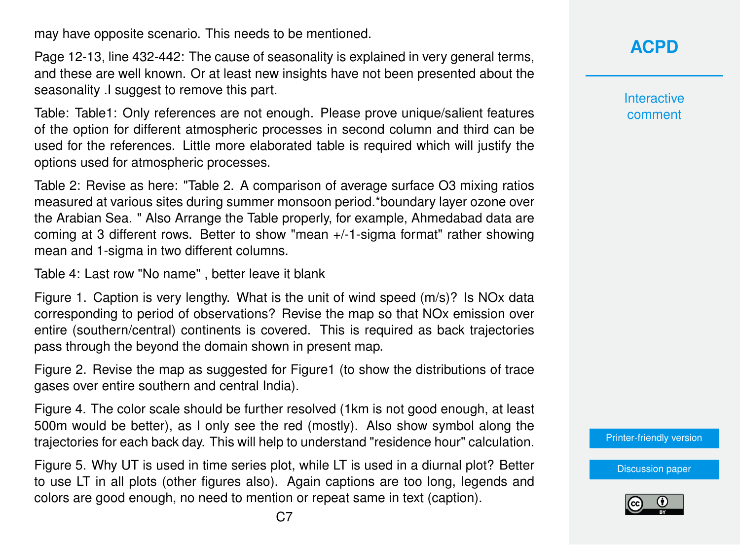may have opposite scenario. This needs to be mentioned.

Page 12-13, line 432-442: The cause of seasonality is explained in very general terms, and these are well known. Or at least new insights have not been presented about the seasonality .I suggest to remove this part.

Table: Table1: Only references are not enough. Please prove unique/salient features of the option for different atmospheric processes in second column and third can be used for the references. Little more elaborated table is required which will justify the options used for atmospheric processes.

Table 2: Revise as here: "Table 2. A comparison of average surface O3 mixing ratios measured at various sites during summer monsoon period.\*boundary layer ozone over the Arabian Sea. " Also Arrange the Table properly, for example, Ahmedabad data are coming at 3 different rows. Better to show "mean +/-1-sigma format" rather showing mean and 1-sigma in two different columns.

Table 4: Last row "No name" , better leave it blank

Figure 1. Caption is very lengthy. What is the unit of wind speed (m/s)? Is NOx data corresponding to period of observations? Revise the map so that NOx emission over entire (southern/central) continents is covered. This is required as back trajectories pass through the beyond the domain shown in present map.

Figure 2. Revise the map as suggested for Figure1 (to show the distributions of trace gases over entire southern and central India).

Figure 4. The color scale should be further resolved (1km is not good enough, at least 500m would be better), as I only see the red (mostly). Also show symbol along the trajectories for each back day. This will help to understand "residence hour" calculation.

Figure 5. Why UT is used in time series plot, while LT is used in a diurnal plot? Better to use LT in all plots (other figures also). Again captions are too long, legends and colors are good enough, no need to mention or repeat same in text (caption).

**[ACPD](http://www.atmos-chem-phys-discuss.net/)**

**Interactive** comment

[Printer-friendly version](http://www.atmos-chem-phys-discuss.net/acp-2016-595/acp-2016-595-RC1-print.pdf)